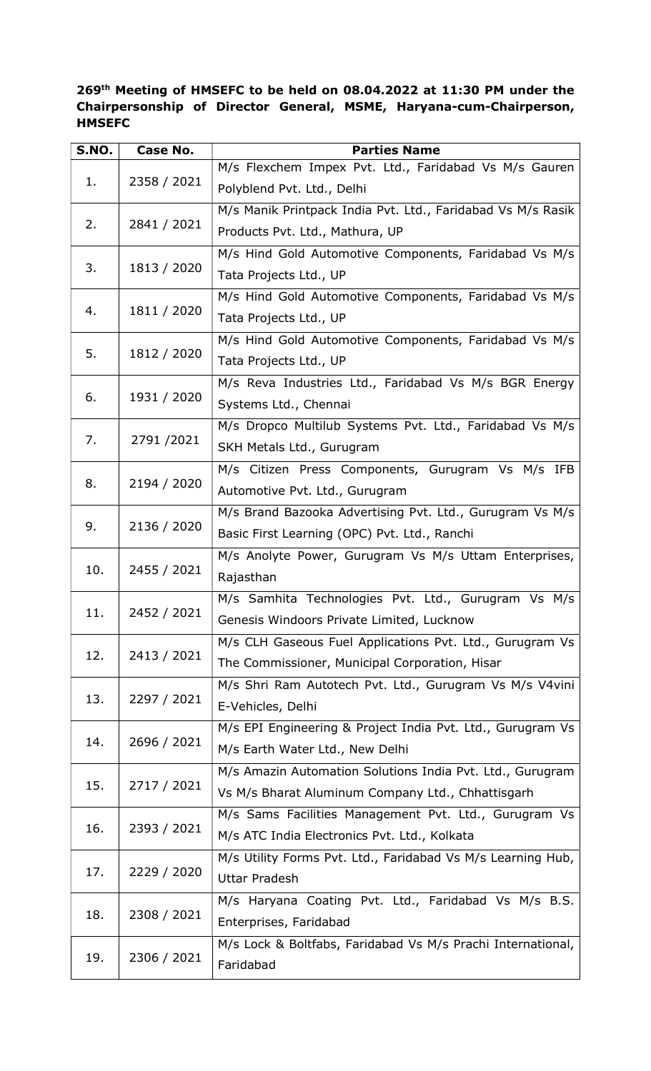## 269th Meeting of HMSEFC to be held on 08.04.2022 at 11:30 PM under the Chairpersonship of Director General, MSME, Haryana-cum-Chairperson, **HMSEFC**

| S.NO. | <b>Case No.</b> | <b>Parties Name</b>                                         |
|-------|-----------------|-------------------------------------------------------------|
|       | 2358 / 2021     | M/s Flexchem Impex Pvt. Ltd., Faridabad Vs M/s Gauren       |
| 1.    |                 | Polyblend Pvt. Ltd., Delhi                                  |
|       | 2841 / 2021     | M/s Manik Printpack India Pvt. Ltd., Faridabad Vs M/s Rasik |
| 2.    |                 | Products Pvt. Ltd., Mathura, UP                             |
|       | 1813 / 2020     | M/s Hind Gold Automotive Components, Faridabad Vs M/s       |
| 3.    |                 | Tata Projects Ltd., UP                                      |
|       | 1811 / 2020     | M/s Hind Gold Automotive Components, Faridabad Vs M/s       |
| 4.    |                 | Tata Projects Ltd., UP                                      |
|       | 1812 / 2020     | M/s Hind Gold Automotive Components, Faridabad Vs M/s       |
| 5.    |                 | Tata Projects Ltd., UP                                      |
|       | 1931 / 2020     | M/s Reva Industries Ltd., Faridabad Vs M/s BGR Energy       |
| 6.    |                 | Systems Ltd., Chennai                                       |
|       |                 | M/s Dropco Multilub Systems Pvt. Ltd., Faridabad Vs M/s     |
| 7.    | 2791/2021       | SKH Metals Ltd., Gurugram                                   |
|       |                 | M/s Citizen Press Components, Gurugram Vs M/s IFB           |
| 8.    | 2194 / 2020     | Automotive Pvt. Ltd., Gurugram                              |
|       |                 | M/s Brand Bazooka Advertising Pvt. Ltd., Gurugram Vs M/s    |
| 9.    | 2136 / 2020     | Basic First Learning (OPC) Pvt. Ltd., Ranchi                |
|       | 2455 / 2021     | M/s Anolyte Power, Gurugram Vs M/s Uttam Enterprises,       |
| 10.   |                 | Rajasthan                                                   |
| 11.   | 2452 / 2021     | M/s Samhita Technologies Pvt. Ltd., Gurugram Vs M/s         |
|       |                 | Genesis Windoors Private Limited, Lucknow                   |
|       | 2413 / 2021     | M/s CLH Gaseous Fuel Applications Pvt. Ltd., Gurugram Vs    |
| 12.   |                 | The Commissioner, Municipal Corporation, Hisar              |
|       | 2297 / 2021     | M/s Shri Ram Autotech Pvt. Ltd., Gurugram Vs M/s V4vini     |
| 13.   |                 | E-Vehicles, Delhi                                           |
| 14.   | 2696 / 2021     | M/s EPI Engineering & Project India Pvt. Ltd., Gurugram Vs  |
|       |                 | M/s Earth Water Ltd., New Delhi                             |
|       |                 | M/s Amazin Automation Solutions India Pvt. Ltd., Gurugram   |
| 15.   | 2717 / 2021     | Vs M/s Bharat Aluminum Company Ltd., Chhattisgarh           |
|       |                 | M/s Sams Facilities Management Pvt. Ltd., Gurugram Vs       |
| 16.   | 2393 / 2021     | M/s ATC India Electronics Pvt. Ltd., Kolkata                |
|       | 2229 / 2020     | M/s Utility Forms Pvt. Ltd., Faridabad Vs M/s Learning Hub, |
| 17.   |                 | <b>Uttar Pradesh</b>                                        |
| 18.   | 2308 / 2021     | M/s Haryana Coating Pvt. Ltd., Faridabad Vs M/s B.S.        |
|       |                 | Enterprises, Faridabad                                      |
| 19.   | 2306 / 2021     | M/s Lock & Boltfabs, Faridabad Vs M/s Prachi International, |
|       |                 | Faridabad                                                   |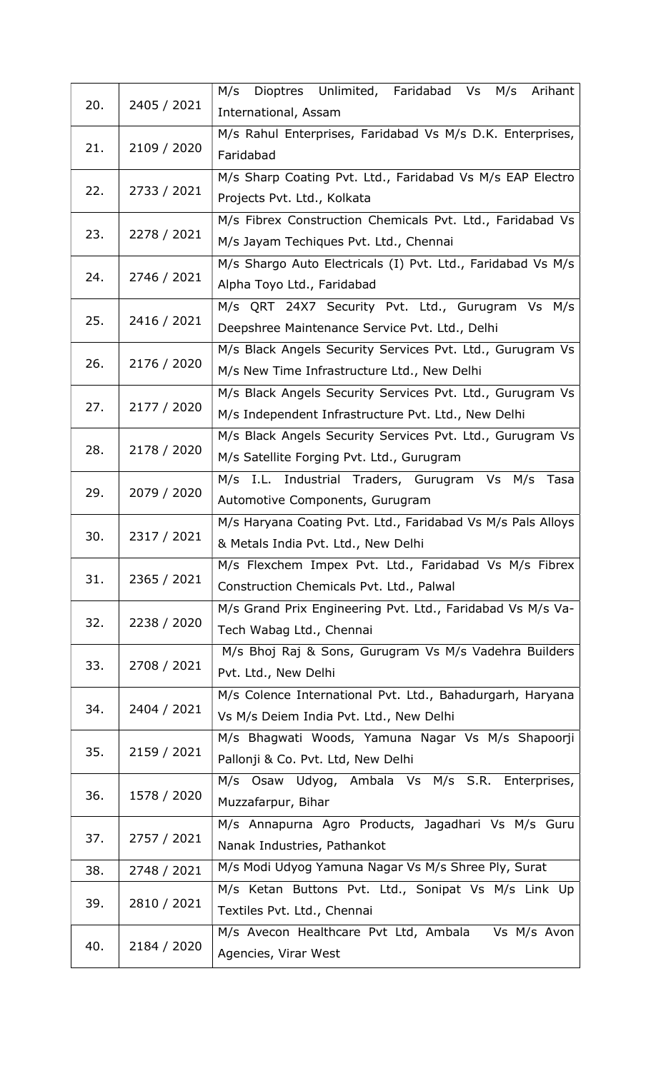| 20. | 2405 / 2021 | Dioptres Unlimited, Faridabad Vs M/s<br>M/s<br>Arihant<br>International, Assam |
|-----|-------------|--------------------------------------------------------------------------------|
|     |             | M/s Rahul Enterprises, Faridabad Vs M/s D.K. Enterprises,                      |
| 21. | 2109 / 2020 | Faridabad                                                                      |
| 22. |             | M/s Sharp Coating Pvt. Ltd., Faridabad Vs M/s EAP Electro                      |
|     | 2733 / 2021 | Projects Pvt. Ltd., Kolkata                                                    |
| 23. | 2278 / 2021 | M/s Fibrex Construction Chemicals Pvt. Ltd., Faridabad Vs                      |
|     |             | M/s Jayam Techiques Pvt. Ltd., Chennai                                         |
| 24. | 2746 / 2021 | M/s Shargo Auto Electricals (I) Pvt. Ltd., Faridabad Vs M/s                    |
|     |             | Alpha Toyo Ltd., Faridabad                                                     |
| 25. | 2416 / 2021 | M/s QRT 24X7 Security Pvt. Ltd., Gurugram Vs M/s                               |
|     |             | Deepshree Maintenance Service Pvt. Ltd., Delhi                                 |
| 26. |             | M/s Black Angels Security Services Pvt. Ltd., Gurugram Vs                      |
|     | 2176 / 2020 | M/s New Time Infrastructure Ltd., New Delhi                                    |
| 27. |             | M/s Black Angels Security Services Pvt. Ltd., Gurugram Vs                      |
|     | 2177 / 2020 | M/s Independent Infrastructure Pvt. Ltd., New Delhi                            |
| 28. |             | M/s Black Angels Security Services Pvt. Ltd., Gurugram Vs                      |
|     | 2178 / 2020 | M/s Satellite Forging Pvt. Ltd., Gurugram                                      |
| 29. | 2079 / 2020 | I.L. Industrial Traders, Gurugram Vs M/s Tasa<br>M/s                           |
|     |             | Automotive Components, Gurugram                                                |
| 30. |             | M/s Haryana Coating Pvt. Ltd., Faridabad Vs M/s Pals Alloys                    |
|     | 2317 / 2021 | & Metals India Pvt. Ltd., New Delhi                                            |
| 31. |             | M/s Flexchem Impex Pvt. Ltd., Faridabad Vs M/s Fibrex                          |
|     | 2365 / 2021 | Construction Chemicals Pvt. Ltd., Palwal                                       |
| 32. | 2238 / 2020 | M/s Grand Prix Engineering Pvt. Ltd., Faridabad Vs M/s Va-                     |
|     |             | Tech Wabag Ltd., Chennai                                                       |
| 33. | 2708 / 2021 | M/s Bhoj Raj & Sons, Gurugram Vs M/s Vadehra Builders                          |
|     |             | Pvt. Ltd., New Delhi                                                           |
| 34. | 2404 / 2021 | M/s Colence International Pvt. Ltd., Bahadurgarh, Haryana                      |
|     |             | Vs M/s Deiem India Pvt. Ltd., New Delhi                                        |
| 35. | 2159 / 2021 | M/s Bhagwati Woods, Yamuna Nagar Vs M/s Shapoorji                              |
|     |             | Pallonji & Co. Pvt. Ltd, New Delhi                                             |
| 36. |             | M/s Osaw Udyog, Ambala Vs M/s S.R. Enterprises,                                |
|     | 1578 / 2020 | Muzzafarpur, Bihar                                                             |
| 37. | 2757 / 2021 | M/s Annapurna Agro Products, Jagadhari Vs M/s Guru                             |
|     |             | Nanak Industries, Pathankot                                                    |
| 38. | 2748 / 2021 | M/s Modi Udyog Yamuna Nagar Vs M/s Shree Ply, Surat                            |
| 39. | 2810 / 2021 | M/s Ketan Buttons Pvt. Ltd., Sonipat Vs M/s Link Up                            |
|     |             | Textiles Pvt. Ltd., Chennai                                                    |
| 40. | 2184 / 2020 | M/s Avecon Healthcare Pvt Ltd, Ambala<br>Vs M/s Avon                           |
|     |             | Agencies, Virar West                                                           |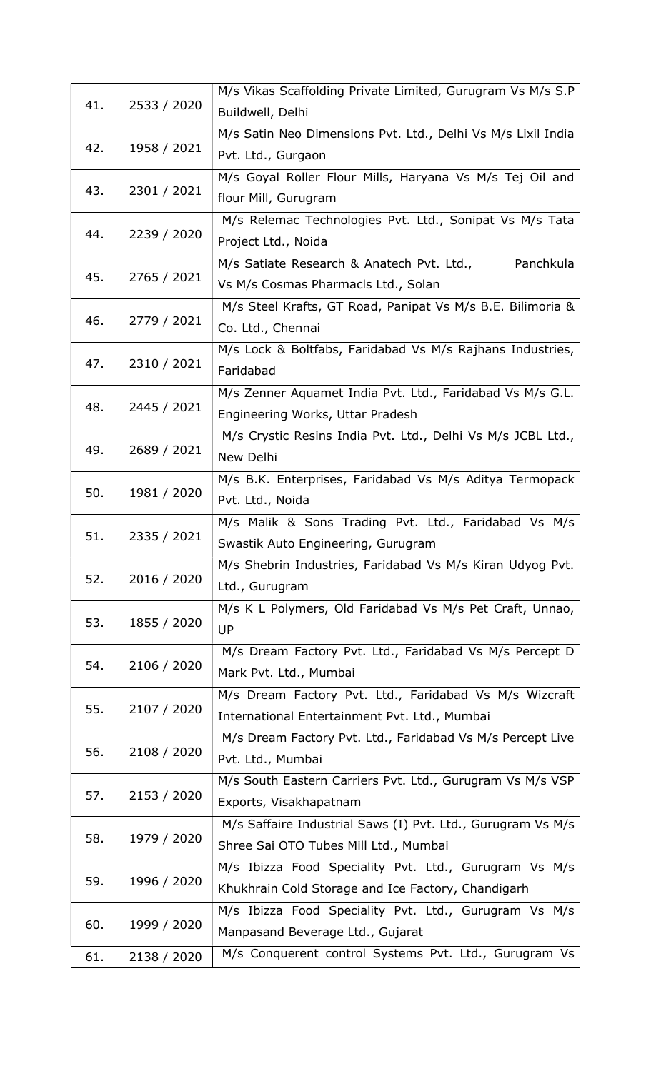| 41. | 2533 / 2020 | M/s Vikas Scaffolding Private Limited, Gurugram Vs M/s S.P   |
|-----|-------------|--------------------------------------------------------------|
|     |             | Buildwell, Delhi                                             |
| 42. | 1958 / 2021 | M/s Satin Neo Dimensions Pvt. Ltd., Delhi Vs M/s Lixil India |
|     |             | Pvt. Ltd., Gurgaon                                           |
|     |             | M/s Goyal Roller Flour Mills, Haryana Vs M/s Tej Oil and     |
| 43. | 2301 / 2021 | flour Mill, Gurugram                                         |
| 44. | 2239 / 2020 | M/s Relemac Technologies Pvt. Ltd., Sonipat Vs M/s Tata      |
|     |             | Project Ltd., Noida                                          |
| 45. | 2765 / 2021 | Panchkula<br>M/s Satiate Research & Anatech Pvt. Ltd.,       |
|     |             | Vs M/s Cosmas Pharmacls Ltd., Solan                          |
|     | 2779 / 2021 | M/s Steel Krafts, GT Road, Panipat Vs M/s B.E. Bilimoria &   |
| 46. |             | Co. Ltd., Chennai                                            |
|     |             | M/s Lock & Boltfabs, Faridabad Vs M/s Rajhans Industries,    |
| 47. | 2310 / 2021 | Faridabad                                                    |
|     |             | M/s Zenner Aquamet India Pvt. Ltd., Faridabad Vs M/s G.L.    |
| 48. | 2445 / 2021 | Engineering Works, Uttar Pradesh                             |
|     |             | M/s Crystic Resins India Pvt. Ltd., Delhi Vs M/s JCBL Ltd.,  |
| 49. | 2689 / 2021 | New Delhi                                                    |
|     |             | M/s B.K. Enterprises, Faridabad Vs M/s Aditya Termopack      |
| 50. | 1981 / 2020 | Pvt. Ltd., Noida                                             |
|     |             | M/s Malik & Sons Trading Pvt. Ltd., Faridabad Vs M/s         |
| 51. | 2335 / 2021 | Swastik Auto Engineering, Gurugram                           |
|     | 2016 / 2020 | M/s Shebrin Industries, Faridabad Vs M/s Kiran Udyog Pvt.    |
| 52. |             | Ltd., Gurugram                                               |
|     |             | M/s K L Polymers, Old Faridabad Vs M/s Pet Craft, Unnao,     |
| 53. | 1855 / 2020 | <b>UP</b>                                                    |
|     |             | M/s Dream Factory Pvt. Ltd., Faridabad Vs M/s Percept D      |
| 54. | 2106 / 2020 | Mark Pvt. Ltd., Mumbai                                       |
|     |             | M/s Dream Factory Pvt. Ltd., Faridabad Vs M/s Wizcraft       |
| 55. | 2107 / 2020 | International Entertainment Pvt. Ltd., Mumbai                |
|     |             | M/s Dream Factory Pvt. Ltd., Faridabad Vs M/s Percept Live   |
| 56. | 2108 / 2020 | Pvt. Ltd., Mumbai                                            |
|     |             | M/s South Eastern Carriers Pvt. Ltd., Gurugram Vs M/s VSP    |
| 57. | 2153 / 2020 | Exports, Visakhapatnam                                       |
|     |             | M/s Saffaire Industrial Saws (I) Pvt. Ltd., Gurugram Vs M/s  |
| 58. | 1979 / 2020 | Shree Sai OTO Tubes Mill Ltd., Mumbai                        |
| 59. | 1996 / 2020 | M/s Ibizza Food Speciality Pvt. Ltd., Gurugram Vs M/s        |
|     |             | Khukhrain Cold Storage and Ice Factory, Chandigarh           |
| 60. | 1999 / 2020 | M/s Ibizza Food Speciality Pvt. Ltd., Gurugram Vs M/s        |
|     |             | Manpasand Beverage Ltd., Gujarat                             |
| 61. | 2138 / 2020 | M/s Conquerent control Systems Pvt. Ltd., Gurugram Vs        |